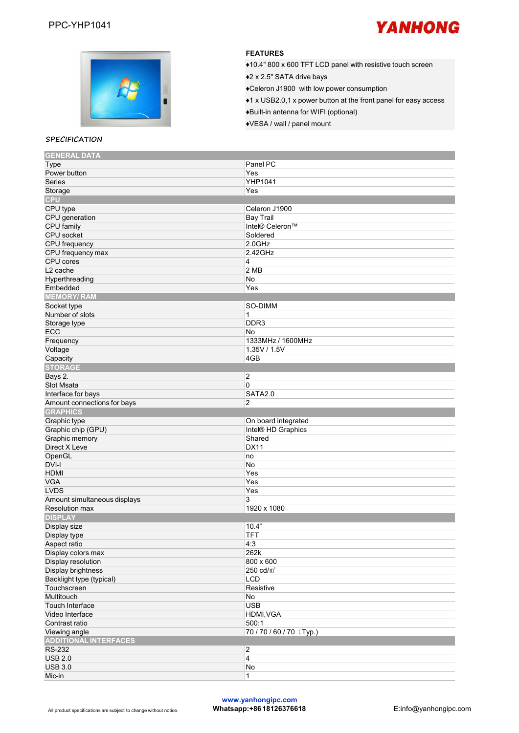



### **FEATURES**

◆10.4" 800 x 600 TFT LCD panel with resistive touch screen

♦2 <sup>x</sup> 2.5" SATA drive bays♦Celeron J1900 with low power consumption

♦1 x USB2.0,1 x power button at the front panel foreasy access

♦Built-in antenna for WIFI (optional)

♦VESA / wall / panel mount

#### **SPECIFICATION**

| <b>GENERAL DATA</b>          |                     |
|------------------------------|---------------------|
| Type                         | Panel PC            |
| Power button                 | Yes                 |
| Series                       | <b>YHP1041</b>      |
| Storage                      | Yes                 |
| <b>CPU</b>                   |                     |
| CPU type                     | Celeron J1900       |
| CPU generation               | <b>Bay Trail</b>    |
| CPU family                   | Intel® Celeron™     |
|                              |                     |
| CPU socket                   | Soldered            |
| CPU frequency                | $2.0$ GHz           |
| CPU frequency max            | 2.42GHz             |
| CPU cores                    | 4                   |
| L <sub>2</sub> cache         | 2 MB                |
| Hyperthreading               | No                  |
| Embedded                     | Yes                 |
| <b>MEMORY/RAM</b>            |                     |
| Socket type                  | SO-DIMM             |
| Number of slots              | 1                   |
| Storage type                 | DDR <sub>3</sub>    |
| <b>ECC</b>                   | No                  |
|                              |                     |
| Frequency                    | 1333MHz / 1600MHz   |
| Voltage                      | 1.35V / 1.5V        |
| Capacity                     | 4GB                 |
| <b>STORAGE</b>               |                     |
| Bays 2.                      | $\overline{c}$      |
| Slot Msata                   | 0                   |
| Interface for bays           | SATA2.0             |
| Amount connections for bays  | $\overline{c}$      |
| <b>GRAPHICS</b>              |                     |
| Graphic type                 | On board integrated |
| Graphic chip (GPU)           | Intel® HD Graphics  |
| Graphic memory               | Shared              |
| Direct X Leve                | <b>DX11</b>         |
| OpenGL                       |                     |
|                              | no                  |
| DVI-I                        | No                  |
| <b>HDMI</b>                  | Yes                 |
| <b>VGA</b>                   | Yes                 |
| <b>LVDS</b>                  | Yes                 |
| Amount simultaneous displays | 3                   |
| <b>Resolution max</b>        | 1920 x 1080         |
| <b>DISPLAY</b>               |                     |
| Display size                 | 10.4"               |
| Display type                 | <b>TFT</b>          |
| Aspect ratio                 | 4:3                 |
| Display colors max           | 262k                |
| Display resolution           | 800 x 600           |
| Display brightness           | 250 cd/ $m2$        |
|                              |                     |
| Backlight type (typical)     | LCD                 |
| Touchscreen                  | Resistive           |
| Multitouch                   | No                  |
| Touch Interface              | <b>USB</b>          |
| Video Interface              | HDMI, VGA           |
| Contrast ratio               | 500:1               |
| Viewing angle                | 70/70/60/70 (Typ.)  |
| <b>ADDITIONAL INTERFACES</b> |                     |
| <b>RS-232</b>                | $ 2\rangle$         |
| <b>USB 2.0</b>               | $\overline{4}$      |
|                              |                     |
| <b>USB 3.0</b>               | No                  |
| Mic-in                       | 1                   |